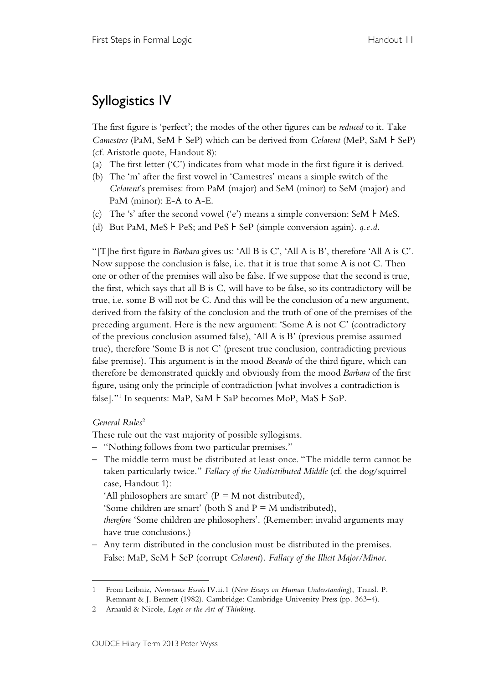## Syllogistics IV

The first figure is 'perfect'; the modes of the other figures can be *reduced* to it. Take *Camestres* (PaM, SeM ⊦ SeP) which can be derived from *Celarent* (MeP, SaM ⊦ SeP) (cf. Aristotle quote, Handout 8):

- (a) The first letter ('C') indicates from what mode in the first figure it is derived.
- (b) The 'm' after the first vowel in 'Camestres' means a simple switch of the *Celarent*'s premises: from PaM (major) and SeM (minor) to SeM (major) and PaM (minor): E-A to A-E.
- (c) The 's' after the second vowel ('e') means a simple conversion: SeM ⊦ MeS.
- (d) But PaM, MeS ⊦ PeS; and PeS ⊦ SeP (simple conversion again). *q.e.d.*

"[T]he first figure in *Barbara* gives us: 'All B is C', 'All A is B', therefore 'All A is C'. Now suppose the conclusion is false, i.e. that it is true that some A is not C. Then one or other of the premises will also be false. If we suppose that the second is true, the first, which says that all B is C, will have to be false, so its contradictory will be true, i.e. some B will not be C. And this will be the conclusion of a new argument, derived from the falsity of the conclusion and the truth of one of the premises of the preceding argument. Here is the new argument: 'Some A is not C' (contradictory of the previous conclusion assumed false), 'All A is B' (previous premise assumed true), therefore 'Some B is not C' (present true conclusion, contradicting previous false premise). This argument is in the mood *Bocardo* of the third figure, which can therefore be demonstrated quickly and obviously from the mood *Barbara* of the first figure, using only the principle of contradiction [what involves a contradiction is false]."<sup>1</sup> In sequents: MaP, SaM  $\vdash$  SaP becomes MoP, MaS  $\dashv$  SoP.

## *General Rules* 2

 $\overline{a}$ 

These rule out the vast majority of possible syllogisms.

- "Nothing follows from two particular premises."
- The middle term must be distributed at least once. "The middle term cannot be taken particularly twice." *Fallacy of the Undistributed Middle* (cf. the dog/squirrel case, Handout 1):

'All philosophers are smart' ( $P = M$  not distributed),

'Some children are smart' (both S and  $P = M$  undistributed),

*therefore* 'Some children are philosophers'. (Remember: invalid arguments may have true conclusions.)

– Any term distributed in the conclusion must be distributed in the premises. False: MaP, SeM ⊦ SeP (corrupt *Celarent*). *Fallacy of the Illicit Major/Minor*.

<sup>1</sup> From Leibniz, *Nouveaux Essais* IV.ii.1 (*New Essays on Human Understanding*), Transl. P. Remnant & J. Bennett (1982). Cambridge: Cambridge University Press (pp. 363–4).

<sup>2</sup> Arnauld & Nicole, *Logic or the Art of Thinking*.